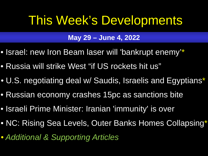# <span id="page-0-0"></span>This Week's Developments

### **May 29 – June 4, 2022**

- [Israel: new Iron Beam laser will 'bankrupt enemy'\\*](#page-1-0)
- [Russia will strike West "if US rockets hit us"](#page-2-0)
- [U.S. negotiating deal w/ Saudis, Israelis and Egyptians\\*](#page-3-0)
- [Russian economy crashes 15pc as sanctions bite](#page-4-0)
- [Israeli Prime Minister: Iranian 'immunity' is over](#page-5-0)
- [NC: Rising Sea Levels, Outer Banks Homes Collapsing\\*](#page-6-0)
- *[Additional & Supporting Articles](#page-7-0)*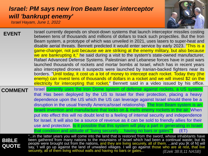### <span id="page-1-0"></span>*[Israel: PM says new Iron Beam laser interceptor](#page-0-0)  will 'bankrupt enemy'*

*Israel Hayam, June 1, 2022*



| <b>EVENT</b>                 | Israel currently depends on shoot-down systems that launch interceptor missiles costing<br>between tens of thousands and millions of dollars to track such projectiles. But the Iron<br>Beam system, a prototype of which was unveiled in 2021, uses lasers to super-heat and<br>disable aerial threats. Bennett predicted it would enter service by early 2023. This is a<br>game-changer, not just because we are striking at the enemy military, but also because<br>we are bankrupting it," he said during a visit to the system's state-owned manufacturer,<br>Rafael Advanced Defense Systems. Palestinian and Lebanese forces have in past wars<br>launched thousands of rockets and mortar bombs at Israel, which has in recent years<br>also intercepted drones it suspects were launched by Iranian-backed fighters near its<br>borders. "Until today, it cost us a lot of money to intercept each rocket. Today they (the<br>enemy) can invest tens of thousands of dollars in a rocket and we will invest \$2 on the<br>electricity for intercepting that rocket," Bennett said in a video issued by his office. |
|------------------------------|------------------------------------------------------------------------------------------------------------------------------------------------------------------------------------------------------------------------------------------------------------------------------------------------------------------------------------------------------------------------------------------------------------------------------------------------------------------------------------------------------------------------------------------------------------------------------------------------------------------------------------------------------------------------------------------------------------------------------------------------------------------------------------------------------------------------------------------------------------------------------------------------------------------------------------------------------------------------------------------------------------------------------------------------------------------------------------------------------------------------------|
| <b>COMMENT</b>               | Israel currently uses the Iron Dome system of defense against rockets, a US system<br>that Has been deployed by the US to Israel for their protection, placing a heavy<br>dependence upon the US which the US can leverage against Israel should there be a<br>disruption in the usual friendly America/Israel relationship. The Iron Beam system is an<br>Israeli invention and manufacture that locks on & melts enemy rockets in the air. When<br>put into effect this will no doubt lend to a feeling of internal security and independence<br>for Israel. It will also be a source of revenue as it can be sold to friendly allies for their<br>use and protection. Is it possible that this system will play a part in generating in Israel<br>that condition and attitude of "living securely having no bars or gates"?<br>(ET)                                                                                                                                                                                                                                                                                       |
| <b>BIBLE</b><br><b>QUOTE</b> | "in the latter years you will come into the land that is restored from the sword, whose inhabitants have<br>been gathered from many nations to the mountains of Israel which had been a continual waste; but its<br>people were brought out from the nations, and they are living securely, all of them. and you [K of N] will<br>say, 'I will go up against the land of unwalled villages. I will go against those who are at rest, that live                                                                                                                                                                                                                                                                                                                                                                                                                                                                                                                                                                                                                                                                               |

securely, all of them living without walls and having no bars or gates... *(Ezek 38:8,11 NASB)*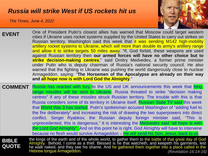#### <span id="page-2-0"></span>*[Russia will strike West if US rockets hit us](#page-0-0)*

*The Times, June 4, 2022*



| <b>EVENT</b> | One of President Putin's closest allies has warned that Moscow could target western         |
|--------------|---------------------------------------------------------------------------------------------|
|              | cities if Ukraine uses rocket systems supplied by the United States to carry out strikes on |
|              | Russian territory. Washington said this week that it was sending M142 high-mobility         |
|              | artillery rocket systems to Ukraine, which will more than double its army's artillery range |
|              | and allow it to strike targets 50 miles away. "If, God forbid, these weapons are used       |
|              | against Russian territory then our armed forces will have no other choice but to            |
|              | strike decision-making centres," said Dmitry Medvedev, a former prime minister              |
|              | under Putin who is deputy chairman of Russia's national security council. He also           |
|              | warned that the fighting in Ukraine was pushing the world dangerously close to nuclear      |
|              | Armageddon, saying: "The Horsemen of the Apocalypse are already on their way                |
|              | and all hope now is with Lord God the Almighty."                                            |
|              |                                                                                             |

**COMMENT BIBLE** Russia has reacted with fury to the US and UK announcements this week that long range missiles will be sent to Ukraine. Russia threated to strike "decision making centres" if any of these missiles struck Russian territory. The trouble with this is that Russia considers some of its territory in Ukraine itself. Russian State TV said this week that World War 3 has started. Putin's spokesman accused Washington of "adding fuel to the fire deliberately" and increasing the risk of drawing the two superpowers into direct conflict. Sergei Ryabkov, the Russian deputy foreign minister said, "This is unprecedented, this is dangerous." It is interesting the Medvedev said "all hope is with the Lord God Almighty". And on this point he is right. God Almighty will have to intervene because no flesh would survive Armageddon – He will send his Son, Jesus, back to us.

## **QUOTE**

the kings of the earth and of the whole world, to gather them to the battle of that great day of God Almighty. Behold, I come as a thief. Blessed is he that watcheth, and keepeth his garments, lest he walk naked, and they see his shame. And he gathered them together into a place called in the Hebrew tongue Armageddon. *(Revelation 16:14-16)*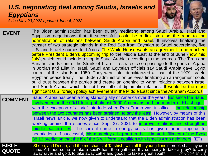### <span id="page-3-0"></span>*[U.S. negotiating deal among Saudis, Israelis and](#page-0-0)  Egyptians*

*Axios May 23,2022 updated June 4, 2022*



| <b>EVENT</b>                 | The Biden administration has been quietly mediating among Saudi Arabia, Israel and<br>Egypt on negotiations that, if successful, could be a first step on the road to the<br>normalization of relations between Saudi Arabia and Israel. It involves finalizing the<br>transfer of two strategic islands in the Red Sea from Egyptian to Saudi sovereignty, five<br>U.S. and Israeli sources told Axios. The White House wants an agreement to be reached<br>before President Biden's upcoming trip to the Middle East at the end of June (now mid<br>July), which could include a stop in Saudi Arabia, according to the sources. The Tiran and<br>Sanafir islands control the Straits of Tiran — a strategic sea passage to the ports of Aqaba<br>in Jordan and Eilat in Israel. Saudi and Egyptian officials say Saudi Arabia gave Egypt<br>control of the islands in 1950. They were later demilitarized as part of the 1979 Israeli-<br>Egyptian peace treaty. TheBiden administration believes finalizing an arrangement could<br>build trust between the parties and create an opening to warm relations between Israel<br>and Saudi Arabia, which do not have official diplomatic relations. It would be the most<br>significant U.S. foreign policy achievement in the Middle East since the Abraham Accords. |
|------------------------------|------------------------------------------------------------------------------------------------------------------------------------------------------------------------------------------------------------------------------------------------------------------------------------------------------------------------------------------------------------------------------------------------------------------------------------------------------------------------------------------------------------------------------------------------------------------------------------------------------------------------------------------------------------------------------------------------------------------------------------------------------------------------------------------------------------------------------------------------------------------------------------------------------------------------------------------------------------------------------------------------------------------------------------------------------------------------------------------------------------------------------------------------------------------------------------------------------------------------------------------------------------------------------------------------------------------------|
| <b>COMMENT</b>               | Saudi Arabia has been a long standing ally of America over the years. But since the Saudi<br>involvement in the 09/11 killing of almost 3000 Americans and the murder of Khashoggi -<br>with the exception of a brief interlude when Pres Trump was in office $-$ the relationship<br>between the two countries has been strained, to say the least. However, by means of this<br>Israeli news article, we now given to understand that the Biden administration has been<br>working behind the scenes since Sept 27, 2021 to improve relations and strengthen<br>middle eastern ties. The current surge in energy costs has given further impetus to<br>negotiations. If successful, this may play a big part in the ultimate fulfillment of the Ezek<br>38:13 prediction that the K of the S will form a coalition with Israel's Arab neighbors. (ET)                                                                                                                                                                                                                                                                                                                                                                                                                                                                |
| <b>BIBLE</b><br><b>QUOTE</b> | Sheba, and Dedan, and the merchants of Tarshish, with all the young lions thereof, shall say unto<br>thee, Art thou come to take a spoil? hast thou gathered thy company to take a prey? to carry<br>away silver and gold, to take away cattle and goods, to take a great spoil?<br>(Ezekiel 38:13)                                                                                                                                                                                                                                                                                                                                                                                                                                                                                                                                                                                                                                                                                                                                                                                                                                                                                                                                                                                                                    |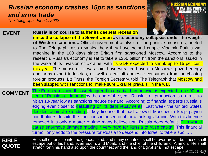### <span id="page-4-0"></span>*Russian economy crashes 15pc as sanctions and arms trade*

**Russia is on course to suffer its deepest recession**

*The Telegraph, June 1, 2022*

**EVENT**



| EVENI                        | ו שטטטע וט טוו טטעו טט גע <u>טעווער ווט מטט</u> אַט וויט פונ<br>since the collapse of the Soviet Union as its economy collapses under the weight<br>of Western sanctions. Official government analysis of the punitive measures, briefed<br>to The Telegraph, also revealed how they have helped cripple Vladimir Putin's war<br>machine in the 100 days since Britain first sanctioned Moscow. According to the<br>research, Russia's economy is set to take a £256 billion hit from the sanctions issued in<br>the wake of its invasion of Ukraine, with its GDP expected to shrink up to 15 per cent<br>this year. The measures, it was said, have wreaked havoc to Moscow's prized energy<br>and arms export industries, as well as cut off domestic consumers from purchasing<br>foreign products. Liz Truss, the Foreign Secretary, told The Telegraph that Moscow had<br>been slapped with sanctions to "make sure Ukraine prevails" in the war. |
|------------------------------|---------------------------------------------------------------------------------------------------------------------------------------------------------------------------------------------------------------------------------------------------------------------------------------------------------------------------------------------------------------------------------------------------------------------------------------------------------------------------------------------------------------------------------------------------------------------------------------------------------------------------------------------------------------------------------------------------------------------------------------------------------------------------------------------------------------------------------------------------------------------------------------------------------------------------------------------------------|
| <b>COMMENT</b>               | The European Union this week agreed to a partial ban on what is expected to be 90 per<br>cent of Russian oil imports by the end of the year. Russia's oil production is on track to<br>hit an 18-year low as sanctions reduce demand. According to financial experts Russia is<br>edging ever closer to defaulting on its debt repayments. Last week the United States<br>decided against extending a key license that had allowed Moscow to keep paying<br>bondholders despite the sanctions imposed on it for attacking Ukraine. With this licence<br>removed it is only a matter of time many believe until Russia does default. This would<br>cause enormous damage making it very hard for Russia to raise capital. This financial<br>turmoil only adds to the pressure for Russia to descend into Israel to take a spoil                                                                                                                          |
| <b>BIBLE</b><br><b>QUOTE</b> | He shall enter also into the glorious land, and many countries shall be overthrown: but these shall<br>escape out of his hand, even Edom, and Moab, and the chief of the children of Ammon. He shall<br>stretch forth his hand also upon the countries: and the land of Egypt shall not escape.                                                                                                                                                                                                                                                                                                                                                                                                                                                                                                                                                                                                                                                         |

*(Daniel 11:41-42)*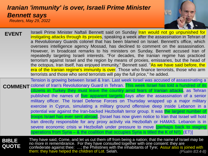### <span id="page-5-0"></span>*[Iranian 'immunity' is over, Israeli Prime Minister](#page-0-0)  Bennett says*

*Reuters, May 29, 2022*



- Israeli Prime Minister Naftali Bennett said on Sunday Iran would not go unpunished for instigating attacks through its proxies, speaking a week after the assassination in Tehran of a Revolutionary Guards colonel that has been blamed on Israel. Bennett's office, which oversees intelligence agency Mossad, has declined to comment on the assassination. However, in broadcast remarks to his ministers on Sunday, Bennett accused Iran of repeatedly targeting Israeli interests. "For decades, the Iranian regime has practiced terrorism against Israel and the region by means of proxies, emissaries, but the head of the octopus, Iran itself, has enjoyed immunity," Bennett said. "As we have said before, the era of the Iranian regime's immunity is over. Those who finance terrorists, those who arm terrorists and those who send terrorists will pay the full price," he added. **EVENT** Tension is growing between Israel & Iran. Last week Israel was accused of assassinating a
- **COMMENT** colonel of Iran's Revolutionary Guard in Tehran. This week Israel has told a hundred of its citizens in Turkey they must leave the country amid fears of Iranian attacks, as Tehran published the names of five apparent targets days after the assassination of a senior military officer. The Israel Defense Forces on Thursday wrapped up a major military exercise in Cyprus, simulating a military ground offensive deep inside Lebanon in a potential war against the Iran-backed Hezbollah terror group. It was the largest number of troops Israel has ever sent abroad. [Israel has now given notice to Iran that Israel will hold Iran directly responsible for any proxy activity via Hezbollah or HAMAS. Lebanon is in severe economic crisis w Hezbollah under pressure to move (perhaps back to staging operations from Syria – & the coalition [that occupies](#page-9-0) Syria is titled the K of N!!)  $(ET)$

**BIBLE QUOTE** They have said, Come, and let us cut them off from being a nation; that the name of Israel may be no more in remembrance. For they have consulted together with one consent: they are confederate against thee: …; the Philistines with the inhabitants of Tyre; Assur also is joined with them: they have helped the children of Lot. Selah. *(Psalm 83:4-8)*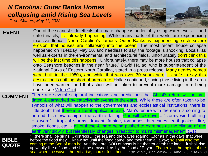### <span id="page-6-0"></span>*N Carolina: Outer Banks Homes [collapsing amid Rising Sea Levels](#page-0-0)*

*GreenMatters, May 11, 2022*



| <b>EVENT</b>                 | One of the scariest side effects of climate change is undeniably rising water levels — and<br>unfortunately, it's already happening. While many parts of the world are experiencing<br>massive floods, North Carolina's famous Outer Banks is experiencing such severe<br>erosion, that houses are collapsing into the ocean. The most recent house collapse<br>happened on Tuesday, May 10, and needless to say, the footage is shocking. Locals, as<br>well as experts in the environmental and architectural fields, unfortunately don't think this<br>will be the last time this happens. "Unfortunately, there may be more houses that collapse<br>onto Seashore beaches in the near future," David Hallac, who is superintendent of the<br>National Parks of Eastern North Carolina, stated in a press release. Many nearby homes<br>were built in the 1980s, and while that was over 30 years ago, it's safe to say this<br>destruction is nothing short of premature. Hallac continued, saying those living in the area<br>have been warned, and that action will be taken to prevent more damage from being<br>done. (see Video Clip) |
|------------------------------|------------------------------------------------------------------------------------------------------------------------------------------------------------------------------------------------------------------------------------------------------------------------------------------------------------------------------------------------------------------------------------------------------------------------------------------------------------------------------------------------------------------------------------------------------------------------------------------------------------------------------------------------------------------------------------------------------------------------------------------------------------------------------------------------------------------------------------------------------------------------------------------------------------------------------------------------------------------------------------------------------------------------------------------------------------------------------------------------------------------------------------------------|
| <b>COMMENT</b>               | There are several scriptural indications and predictions that Christ's return will be pre-<br>dated & earmarked by cataclysmic events in the earth. While these are often taken to be<br>symbols of what will happen to the governments and ecclesiastical institutions, there is<br>little doubt that there is a literal application also. Man's tenure with the earth is coming to<br>an end, his stewardship of the earth is failing; God will take over "stormy wind fulfilling<br>His word" - tropical storms, drought, famine, tornadoes, hurricanes, earthquakes, fire,<br>smoke, floods, etc., - all of these & more being pushed to extremes as the climate of the<br>earth very slowly, but relentlessly, changes in reaction to man's mismanagement. (ET)                                                                                                                                                                                                                                                                                                                                                                           |
| <b>BIBLE</b><br><b>QUOTE</b> | "there shall be signs  distress  the sea and the waves roaring; for as in the days that were<br>before the flood they  knew not until the flood came, and took them all away; so shall also the<br>coming of the Son of man be. And the Lord GOD of hosts is he that toucheth the land it shall rise<br>up wholly like a flood; and shall be drowned, as by the flood of Egypt Thou rulest the raging of the<br>sea: when the waves thereof arise, thou stillest them." Luk_21:25; Mat_24:38-39; Amo_9:5; Psa 89:9)                                                                                                                                                                                                                                                                                                                                                                                                                                                                                                                                                                                                                            |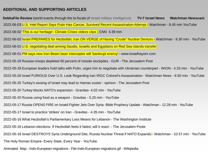#### <span id="page-7-0"></span>**[ADDITIONAL AND SUPPORTING ARTICLES](#page-0-0)**

**DebkaFile Review** [\(world events through the bi-focals of Israeli military intelligence\)](https://www.debka.com/review/) **[TV-7 Israel News](https://www.youtube.com/watch?v=gzvrBjIeGP4)**  [2022-06-02 'This is our heritage'-](https://www.cnn.com/videos/us/2022/06/02/outer-banks-north-carolina-climate-change-erosion-weir-dnt-newday-vpx.cnn) Climate Crises videos clips - CNN 4.39 min [2022-05-20 Turkey blocks NATO's expansion -](https://www.youtube.com/watch?v=wn5KvS6a190) Gravitas- 4.02 min - YouTube Animated Map - Indo-European migrations - [File-Indo-European migrations.gif -](https://en.wikipedia.org/wiki/File:Indo-European_migrations.gif#/media/File:Indo-European_migrations.gif) Wikipedia [2022-05-26 Israel FURIOUS Over U.S. Leak Regarding Iran IRGC Colonel's Assassination -](https://www.youtube.com/watch?v=HasWEDcpN8E) Watchman News - 8.50 min - YouTube [2022-05-16 What Hezbollah's Parliamentary Loss Means for Lebanon -](https://www.washingtoninstitute.org/policy-analysis/what-hezbollahs-parliamentary-loss-means-lebanon) The Washington Institute [2022-05-25 Turkey's wooing of Israel may lead to Hamas ouster -](https://www.jpost.com/opinion/article-707698) opinion - The Jerusalem Post [2022-05-17 Israel to practice 'strikes' on Iran -](https://www.youtube.com/watch?v=FvvxeLsQ7so) Gravitas - 4.35 min - YouTube [2022-06-01 U.S. negotiating deal among Saudis, Israelis and Egyptians on Red Sea islands transfer](https://www.axios.com/2022/05/23/saudi-arabia-egypt-israel-red-sea-islands) [2022-06-02 Israel PREPARES for Hezbollah; Iran ON VERGE of Having "Crude" Nuclear Devices -](https://www.youtube.com/watch?v=gjsl54XUbz4) Watchman - 9.30 min - YouTube [2022-06-01 PM says new Iron Beam laser interceptor will 'bankrupt enemy' -](https://www.israelhayom.com/2022/06/01/pm-says-new-iron-beam-laser-interceptor-will-bankrupt-enemies/) www.israelhayom.com [2022-06-03 U.S. Intel Report Says Putin Has Cancer, Survived Recent Assassination Attempt -](https://www.youtube.com/watch?v=ZYTPUq-tUmw) Watchman - 8.45 min YouTube [The Holy Roman Empire-](https://www.youtube.com/watch?v=_DzOH98Q6TQ&t=95s) Every State, Every Year - YouTube 2022-05-16 Lebanon elections- [If Hezbollah feels it failed, will it react- -](https://www.jpost.com/middle-east/article-706850) The Jerusalem Poste **[Watchman Newscast](https://www.youtube.com/channel/UCD8YGIxFCnVqv-ZGqgtVWAg)**  [2022-05-28 European leaders hold talks with Putin, urges him to negotiate with Ukrainian counterpart -](https://www.youtube.com/watch?v=_dJrtOgoiDM) WION - 4.33 min - YouTube [2022-05-16 Israel DESTROYS Syria Underground Site; Russia Nuclear Threat if NATO Expands](https://www.youtube.com/watch?v=LftU2XqTXLM)-Watchman - 10.57 min - YouTube [2022-05-20 Russia using food as a weapon -](https://www.youtube.com/watch?v=BReYVzJQSok) Gravitas - 5.20 min - YouTube [2022-05-17 Russia OPENS FIRE on Israeli Fighter Jets Over Syria-](https://www.youtube.com/watch?v=ydMB4RFhnUo) Bible Prophecy Update - Watchman - 12.28 min - YouTube [2022-05-29 Russian troops depleted 60 percent of missile stockpiles -](https://www.jpost.com/international/article-707903) GUR - The Jerusalem Post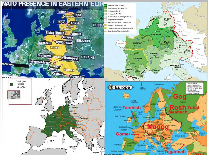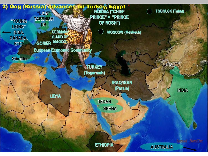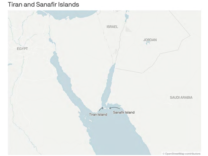#### **Tiran and Sanafir Islands**